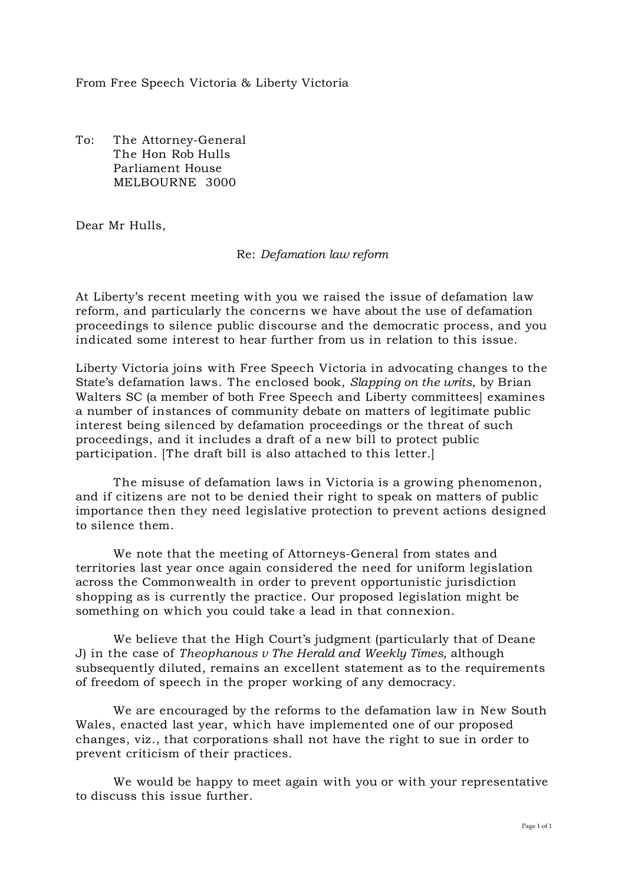From Free Speech Victoria & Liberty Victoria

To: The Attorney-General The Hon Rob Hulls Parliament House MELBOURNE 3000

Dear Mr Hulls,

### Re: *Defamation law reform*

At Liberty's recent meeting with you we raised the issue of defamation law reform, and particularly the concerns we have about the use of defamation proceedings to silence public discourse and the democratic process, and you indicated some interest to hear further from us in relation to this issue.

Liberty Victoria joins with Free Speech Victoria in advocating changes to the State's defamation laws. The enclosed book, *Slapping on the writs*, by Brian Walters SC (a member of both Free Speech and Liberty committees] examines a number of instances of community debate on matters of legitimate public interest being silenced by defamation proceedings or the threat of such proceedings, and it includes a draft of a new bill to protect public participation. [The draft bill is also attached to this letter.]

The misuse of defamation laws in Victoria is a growing phenomenon, and if citizens are not to be denied their right to speak on matters of public importance then they need legislative protection to prevent actions designed to silence them.

We note that the meeting of Attorneys-General from states and territories last year once again considered the need for uniform legislation across the Commonwealth in order to prevent opportunistic jurisdiction shopping as is currently the practice. Our proposed legislation might be something on which you could take a lead in that connexion.

We believe that the High Court's judgment (particularly that of Deane J) in the case of *Theophanous v The Herald and Weekly Times,* although subsequently diluted, remains an excellent statement as to the requirements of freedom of speech in the proper working of any democracy.

We are encouraged by the reforms to the defamation law in New South Wales, enacted last year, which have implemented one of our proposed changes, viz., that corporations shall not have the right to sue in order to prevent criticism of their practices.

We would be happy to meet again with you or with your representative to discuss this issue further.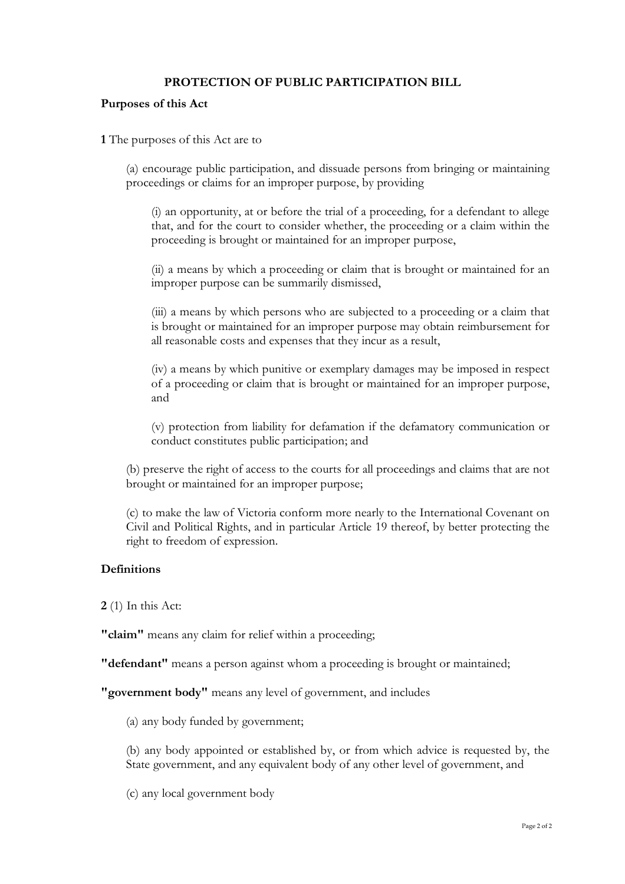# **PROTECTION OF PUBLIC PARTICIPATION BILL**

#### **Purposes of this Act**

**1** The purposes of this Act are to

(a) encourage public participation, and dissuade persons from bringing or maintaining proceedings or claims for an improper purpose, by providing

(i) an opportunity, at or before the trial of a proceeding, for a defendant to allege that, and for the court to consider whether, the proceeding or a claim within the proceeding is brought or maintained for an improper purpose,

(ii) a means by which a proceeding or claim that is brought or maintained for an improper purpose can be summarily dismissed,

(iii) a means by which persons who are subjected to a proceeding or a claim that is brought or maintained for an improper purpose may obtain reimbursement for all reasonable costs and expenses that they incur as a result,

(iv) a means by which punitive or exemplary damages may be imposed in respect of a proceeding or claim that is brought or maintained for an improper purpose, and

(v) protection from liability for defamation if the defamatory communication or conduct constitutes public participation; and

(b) preserve the right of access to the courts for all proceedings and claims that are not brought or maintained for an improper purpose;

(c) to make the law of Victoria conform more nearly to the International Covenant on Civil and Political Rights, and in particular Article 19 thereof, by better protecting the right to freedom of expression.

## **Definitions**

**2** (1) In this Act:

**"claim"** means any claim for relief within a proceeding;

**"defendant"** means a person against whom a proceeding is brought or maintained;

**"government body"** means any level of government, and includes

(a) any body funded by government;

(b) any body appointed or established by, or from which advice is requested by, the State government, and any equivalent body of any other level of government, and

(c) any local government body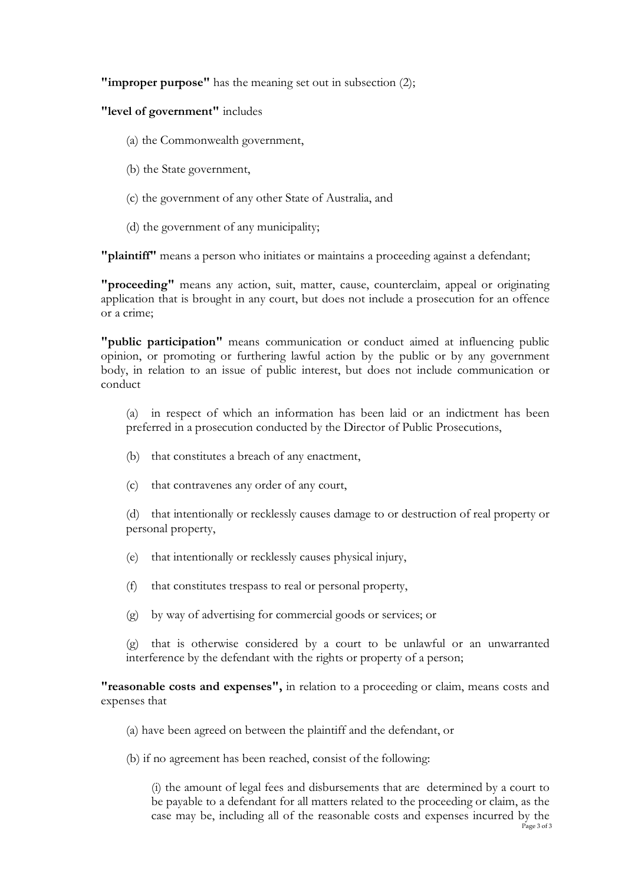**"improper purpose"** has the meaning set out in subsection (2);

**"level of government"** includes

- (a) the Commonwealth government,
- (b) the State government,
- (c) the government of any other State of Australia, and
- (d) the government of any municipality;

**"plaintiff"** means a person who initiates or maintains a proceeding against a defendant;

**"proceeding"** means any action, suit, matter, cause, counterclaim, appeal or originating application that is brought in any court, but does not include a prosecution for an offence or a crime;

**"public participation"** means communication or conduct aimed at influencing public opinion, or promoting or furthering lawful action by the public or by any government body, in relation to an issue of public interest, but does not include communication or conduct

(a) in respect of which an information has been laid or an indictment has been preferred in a prosecution conducted by the Director of Public Prosecutions,

- (b) that constitutes a breach of any enactment,
- (c) that contravenes any order of any court,

(d) that intentionally or recklessly causes damage to or destruction of real property or personal property,

- (e) that intentionally or recklessly causes physical injury,
- (f) that constitutes trespass to real or personal property,
- (g) by way of advertising for commercial goods or services; or

(g) that is otherwise considered by a court to be unlawful or an unwarranted interference by the defendant with the rights or property of a person;

**"reasonable costs and expenses",** in relation to a proceeding or claim, means costs and expenses that

- (a) have been agreed on between the plaintiff and the defendant, or
- (b) if no agreement has been reached, consist of the following:

Page 3 of 3 (i) the amount of legal fees and disbursements that are determined by a court to be payable to a defendant for all matters related to the proceeding or claim, as the case may be, including all of the reasonable costs and expenses incurred by the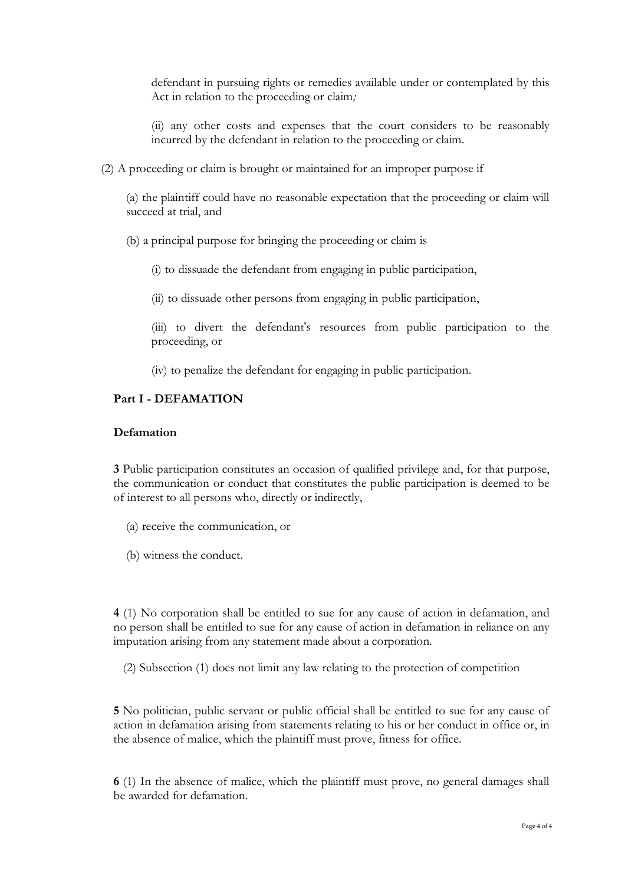defendant in pursuing rights or remedies available under or contemplated by this Act in relation to the proceeding or claim*;*

(ii) any other costs and expenses that the court considers to be reasonably incurred by the defendant in relation to the proceeding or claim.

(2) A proceeding or claim is brought or maintained for an improper purpose if

(a) the plaintiff could have no reasonable expectation that the proceeding or claim will succeed at trial, and

(b) a principal purpose for bringing the proceeding or claim is

(i) to dissuade the defendant from engaging in public participation,

(ii) to dissuade other persons from engaging in public participation,

(iii) to divert the defendant's resources from public participation to the proceeding, or

(iv) to penalize the defendant for engaging in public participation.

## **Part I - DEFAMATION**

### **Defamation**

**3** Public participation constitutes an occasion of qualified privilege and, for that purpose, the communication or conduct that constitutes the public participation is deemed to be of interest to all persons who, directly or indirectly,

- (a) receive the communication, or
- (b) witness the conduct.

**4** (1) No corporation shall be entitled to sue for any cause of action in defamation, and no person shall be entitled to sue for any cause of action in defamation in reliance on any imputation arising from any statement made about a corporation.

(2) Subsection (1) does not limit any law relating to the protection of competition

**5** No politician, public servant or public official shall be entitled to sue for any cause of action in defamation arising from statements relating to his or her conduct in office or, in the absence of malice, which the plaintiff must prove, fitness for office.

**6** (1) In the absence of malice, which the plaintiff must prove, no general damages shall be awarded for defamation.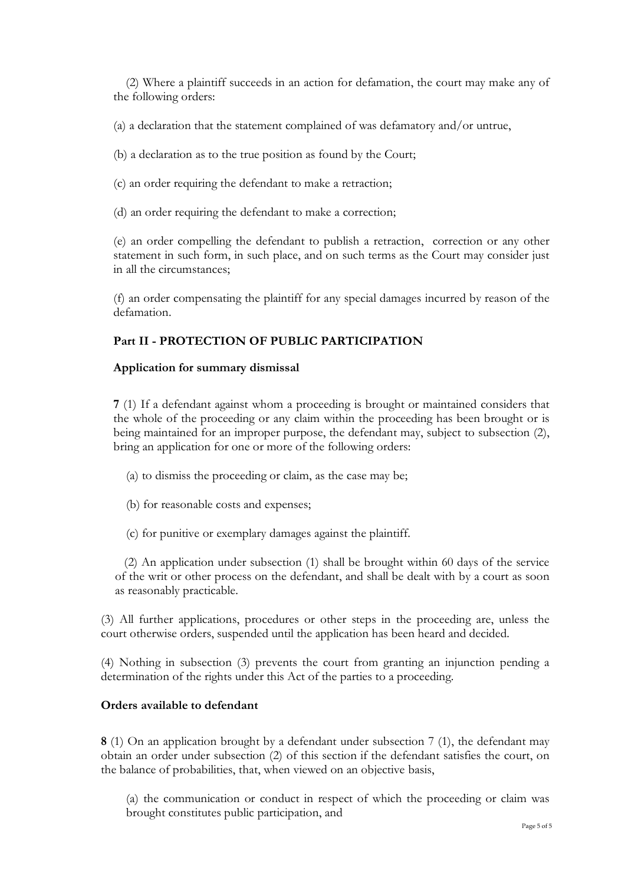(2) Where a plaintiff succeeds in an action for defamation, the court may make any of the following orders:

(a) a declaration that the statement complained of was defamatory and/or untrue,

(b) a declaration as to the true position as found by the Court;

(c) an order requiring the defendant to make a retraction;

(d) an order requiring the defendant to make a correction;

(e) an order compelling the defendant to publish a retraction, correction or any other statement in such form, in such place, and on such terms as the Court may consider just in all the circumstances;

(f) an order compensating the plaintiff for any special damages incurred by reason of the defamation.

#### **Part II - PROTECTION OF PUBLIC PARTICIPATION**

#### **Application for summary dismissal**

**7** (1) If a defendant against whom a proceeding is brought or maintained considers that the whole of the proceeding or any claim within the proceeding has been brought or is being maintained for an improper purpose, the defendant may, subject to subsection (2), bring an application for one or more of the following orders:

- (a) to dismiss the proceeding or claim, as the case may be;
- (b) for reasonable costs and expenses;
- (c) for punitive or exemplary damages against the plaintiff.

(2) An application under subsection (1) shall be brought within 60 days of the service of the writ or other process on the defendant, and shall be dealt with by a court as soon as reasonably practicable.

(3) All further applications, procedures or other steps in the proceeding are, unless the court otherwise orders, suspended until the application has been heard and decided.

(4) Nothing in subsection (3) prevents the court from granting an injunction pending a determination of the rights under this Act of the parties to a proceeding.

### **Orders available to defendant**

**8** (1) On an application brought by a defendant under subsection 7 (1), the defendant may obtain an order under subsection (2) of this section if the defendant satisfies the court, on the balance of probabilities, that, when viewed on an objective basis,

(a) the communication or conduct in respect of which the proceeding or claim was brought constitutes public participation, and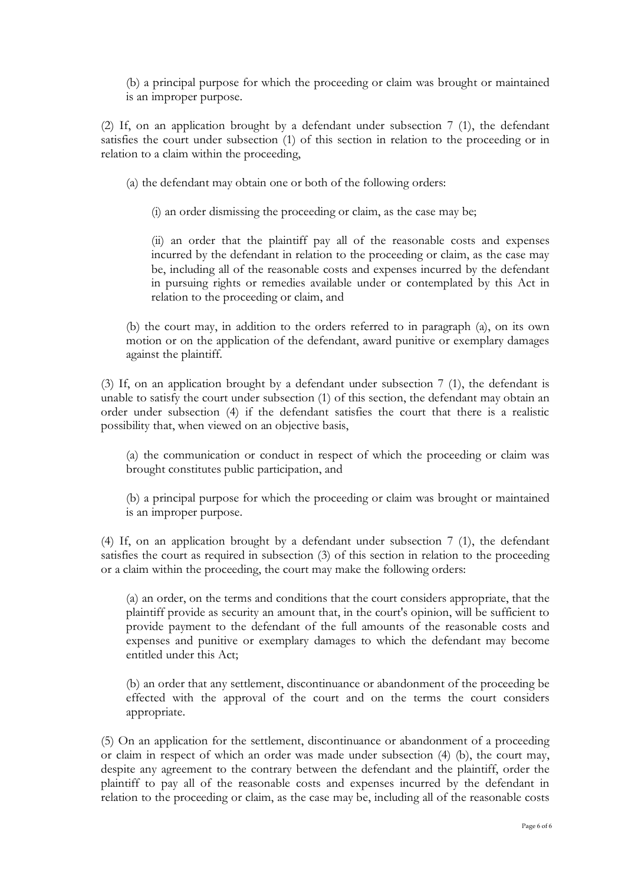(b) a principal purpose for which the proceeding or claim was brought or maintained is an improper purpose.

(2) If, on an application brought by a defendant under subsection 7 (1), the defendant satisfies the court under subsection (1) of this section in relation to the proceeding or in relation to a claim within the proceeding,

(a) the defendant may obtain one or both of the following orders:

(i) an order dismissing the proceeding or claim, as the case may be;

(ii) an order that the plaintiff pay all of the reasonable costs and expenses incurred by the defendant in relation to the proceeding or claim, as the case may be, including all of the reasonable costs and expenses incurred by the defendant in pursuing rights or remedies available under or contemplated by this Act in relation to the proceeding or claim, and

(b) the court may, in addition to the orders referred to in paragraph (a), on its own motion or on the application of the defendant, award punitive or exemplary damages against the plaintiff.

(3) If, on an application brought by a defendant under subsection 7 (1), the defendant is unable to satisfy the court under subsection (1) of this section, the defendant may obtain an order under subsection (4) if the defendant satisfies the court that there is a realistic possibility that, when viewed on an objective basis,

(a) the communication or conduct in respect of which the proceeding or claim was brought constitutes public participation, and

(b) a principal purpose for which the proceeding or claim was brought or maintained is an improper purpose.

(4) If, on an application brought by a defendant under subsection 7 (1), the defendant satisfies the court as required in subsection (3) of this section in relation to the proceeding or a claim within the proceeding, the court may make the following orders:

(a) an order, on the terms and conditions that the court considers appropriate, that the plaintiff provide as security an amount that, in the court's opinion, will be sufficient to provide payment to the defendant of the full amounts of the reasonable costs and expenses and punitive or exemplary damages to which the defendant may become entitled under this Act;

(b) an order that any settlement, discontinuance or abandonment of the proceeding be effected with the approval of the court and on the terms the court considers appropriate.

(5) On an application for the settlement, discontinuance or abandonment of a proceeding or claim in respect of which an order was made under subsection (4) (b), the court may, despite any agreement to the contrary between the defendant and the plaintiff, order the plaintiff to pay all of the reasonable costs and expenses incurred by the defendant in relation to the proceeding or claim, as the case may be, including all of the reasonable costs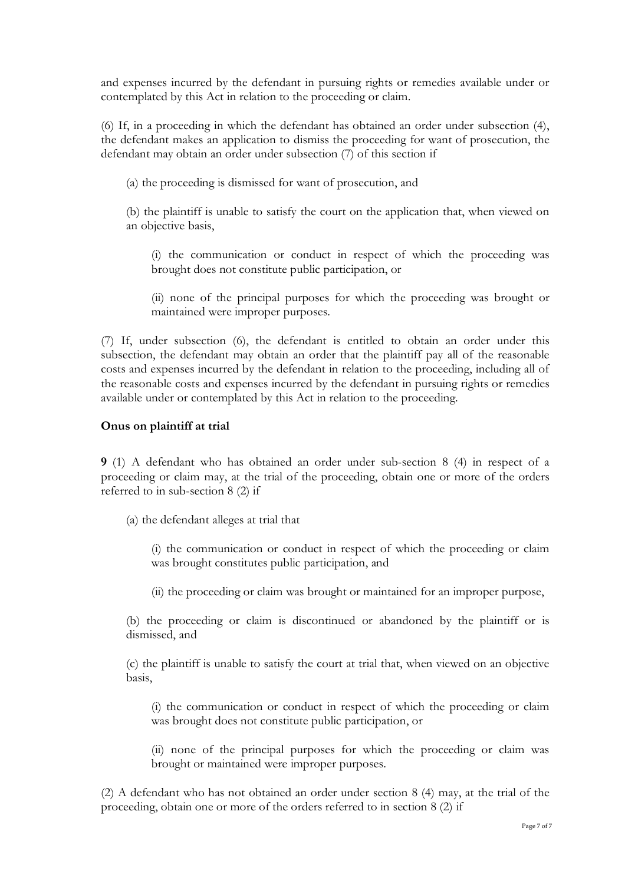and expenses incurred by the defendant in pursuing rights or remedies available under or contemplated by this Act in relation to the proceeding or claim.

(6) If, in a proceeding in which the defendant has obtained an order under subsection (4), the defendant makes an application to dismiss the proceeding for want of prosecution, the defendant may obtain an order under subsection (7) of this section if

(a) the proceeding is dismissed for want of prosecution, and

(b) the plaintiff is unable to satisfy the court on the application that, when viewed on an objective basis,

(i) the communication or conduct in respect of which the proceeding was brought does not constitute public participation, or

(ii) none of the principal purposes for which the proceeding was brought or maintained were improper purposes.

(7) If, under subsection (6), the defendant is entitled to obtain an order under this subsection, the defendant may obtain an order that the plaintiff pay all of the reasonable costs and expenses incurred by the defendant in relation to the proceeding, including all of the reasonable costs and expenses incurred by the defendant in pursuing rights or remedies available under or contemplated by this Act in relation to the proceeding.

### **Onus on plaintiff at trial**

**9** (1) A defendant who has obtained an order under sub-section 8 (4) in respect of a proceeding or claim may, at the trial of the proceeding, obtain one or more of the orders referred to in sub-section 8 (2) if

(a) the defendant alleges at trial that

(i) the communication or conduct in respect of which the proceeding or claim was brought constitutes public participation, and

(ii) the proceeding or claim was brought or maintained for an improper purpose,

(b) the proceeding or claim is discontinued or abandoned by the plaintiff or is dismissed, and

(c) the plaintiff is unable to satisfy the court at trial that, when viewed on an objective basis,

(i) the communication or conduct in respect of which the proceeding or claim was brought does not constitute public participation, or

(ii) none of the principal purposes for which the proceeding or claim was brought or maintained were improper purposes.

(2) A defendant who has not obtained an order under section 8 (4) may, at the trial of the proceeding, obtain one or more of the orders referred to in section 8 (2) if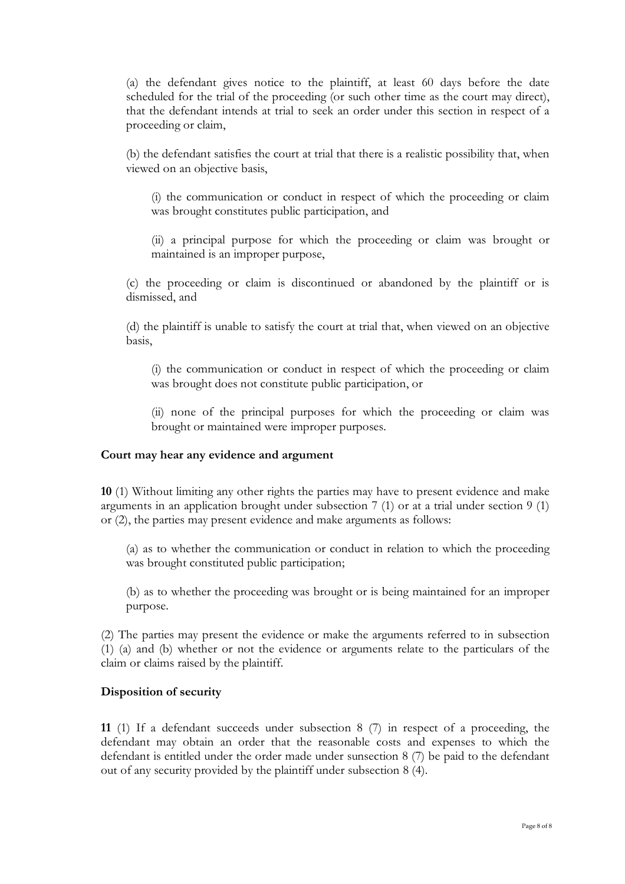(a) the defendant gives notice to the plaintiff, at least 60 days before the date scheduled for the trial of the proceeding (or such other time as the court may direct), that the defendant intends at trial to seek an order under this section in respect of a proceeding or claim,

(b) the defendant satisfies the court at trial that there is a realistic possibility that, when viewed on an objective basis,

(i) the communication or conduct in respect of which the proceeding or claim was brought constitutes public participation, and

(ii) a principal purpose for which the proceeding or claim was brought or maintained is an improper purpose,

(c) the proceeding or claim is discontinued or abandoned by the plaintiff or is dismissed, and

(d) the plaintiff is unable to satisfy the court at trial that, when viewed on an objective basis,

(i) the communication or conduct in respect of which the proceeding or claim was brought does not constitute public participation, or

(ii) none of the principal purposes for which the proceeding or claim was brought or maintained were improper purposes.

### **Court may hear any evidence and argument**

**10** (1) Without limiting any other rights the parties may have to present evidence and make arguments in an application brought under subsection 7 (1) or at a trial under section 9 (1) or (2), the parties may present evidence and make arguments as follows:

(a) as to whether the communication or conduct in relation to which the proceeding was brought constituted public participation;

(b) as to whether the proceeding was brought or is being maintained for an improper purpose.

(2) The parties may present the evidence or make the arguments referred to in subsection (1) (a) and (b) whether or not the evidence or arguments relate to the particulars of the claim or claims raised by the plaintiff.

#### **Disposition of security**

**11** (1) If a defendant succeeds under subsection 8 (7) in respect of a proceeding, the defendant may obtain an order that the reasonable costs and expenses to which the defendant is entitled under the order made under sunsection 8 (7) be paid to the defendant out of any security provided by the plaintiff under subsection 8 (4).